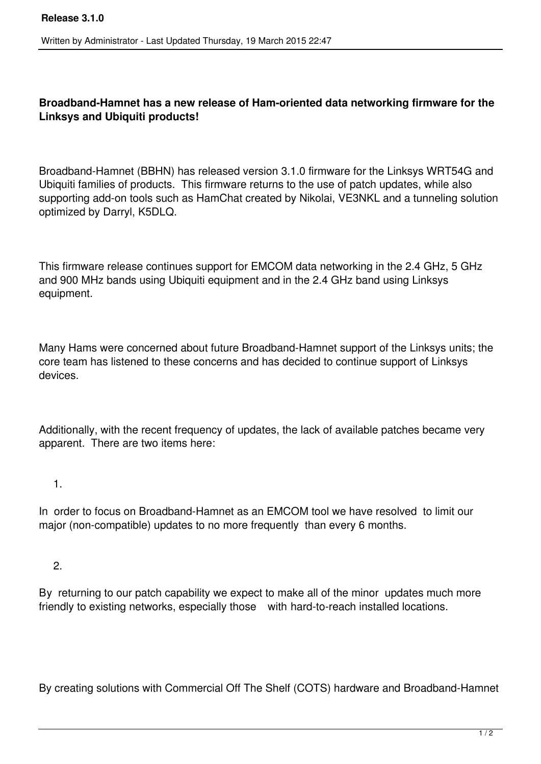## **Broadband-Hamnet has a new release of Ham-oriented data networking firmware for the Linksys and Ubiquiti products!**

Broadband-Hamnet (BBHN) has released version 3.1.0 firmware for the Linksys WRT54G and Ubiquiti families of products. This firmware returns to the use of patch updates, while also supporting add-on tools such as HamChat created by Nikolai, VE3NKL and a tunneling solution optimized by Darryl, K5DLQ.

This firmware release continues support for EMCOM data networking in the 2.4 GHz, 5 GHz and 900 MHz bands using Ubiquiti equipment and in the 2.4 GHz band using Linksys equipment.

Many Hams were concerned about future Broadband-Hamnet support of the Linksys units; the core team has listened to these concerns and has decided to continue support of Linksys devices.

Additionally, with the recent frequency of updates, the lack of available patches became very apparent. There are two items here:

1.

In order to focus on Broadband-Hamnet as an EMCOM tool we have resolved to limit our major (non-compatible) updates to no more frequently than every 6 months.

2.

By returning to our patch capability we expect to make all of the minor updates much more friendly to existing networks, especially those with hard-to-reach installed locations.

By creating solutions with Commercial Off The Shelf (COTS) hardware and Broadband-Hamnet